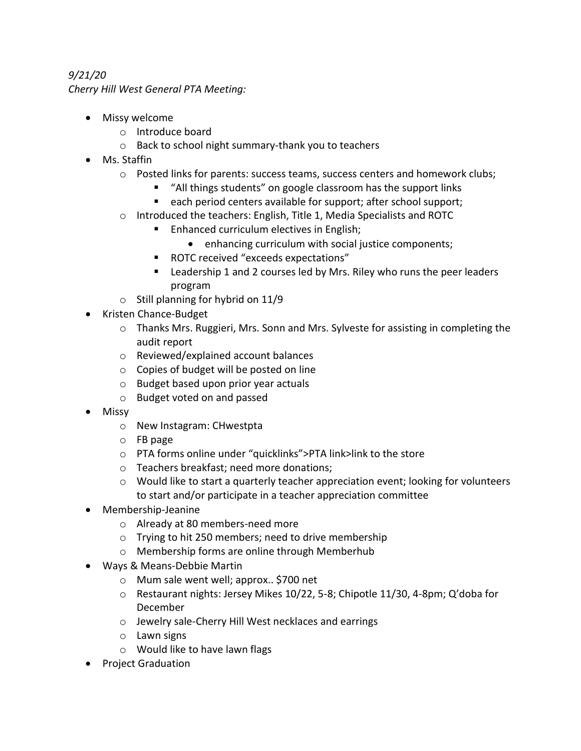## *9/21/20 Cherry Hill West General PTA Meeting:*

- Missy welcome
	- o Introduce board
	- o Back to school night summary-thank you to teachers
- Ms. Staffin
	- o Posted links for parents: success teams, success centers and homework clubs;
		- "All things students" on google classroom has the support links
		- each period centers available for support; after school support;
	- o Introduced the teachers: English, Title 1, Media Specialists and ROTC
		- Enhanced curriculum electives in English;
			- enhancing curriculum with social justice components;
		- ROTC received "exceeds expectations"
		- Leadership 1 and 2 courses led by Mrs. Riley who runs the peer leaders program
	- $\circ$  Still planning for hybrid on 11/9
- Kristen Chance-Budget
	- o Thanks Mrs. Ruggieri, Mrs. Sonn and Mrs. Sylveste for assisting in completing the audit report
	- o Reviewed/explained account balances
	- o Copies of budget will be posted on line
	- o Budget based upon prior year actuals
	- o Budget voted on and passed
- Missy
	- o New Instagram: CHwestpta
	- o FB page
	- o PTA forms online under "quicklinks">PTA link>link to the store
	- o Teachers breakfast; need more donations;
	- $\circ$  Would like to start a quarterly teacher appreciation event; looking for volunteers to start and/or participate in a teacher appreciation committee
- Membership-Jeanine
	- o Already at 80 members-need more
	- o Trying to hit 250 members; need to drive membership
	- o Membership forms are online through Memberhub
- Ways & Means-Debbie Martin
	- o Mum sale went well; approx.. \$700 net
	- o Restaurant nights: Jersey Mikes 10/22, 5-8; Chipotle 11/30, 4-8pm; Q'doba for December
	- o Jewelry sale-Cherry Hill West necklaces and earrings
	- $\circ$  Lawn signs
	- o Would like to have lawn flags
- Project Graduation